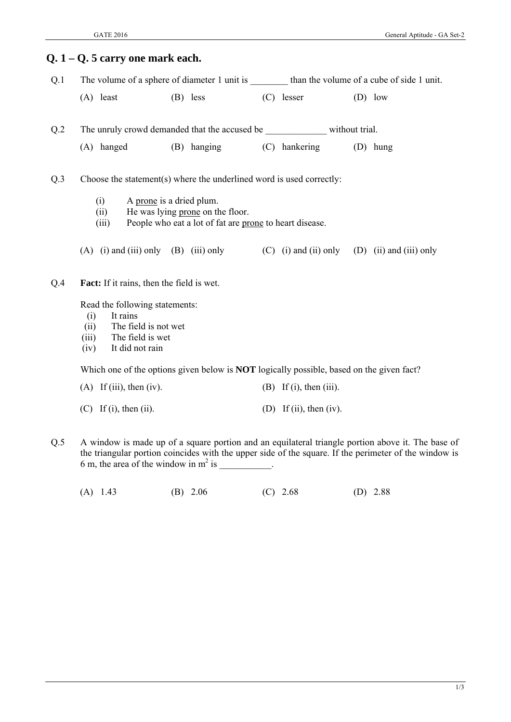|                 | $Q. 1 - Q. 5$ carry one mark each.                                                                                                        |                                                                                                                         |                                                                                                 |                                                                                                  |
|-----------------|-------------------------------------------------------------------------------------------------------------------------------------------|-------------------------------------------------------------------------------------------------------------------------|-------------------------------------------------------------------------------------------------|--------------------------------------------------------------------------------------------------|
| Q.1             |                                                                                                                                           |                                                                                                                         |                                                                                                 | The volume of a sphere of diameter 1 unit is _________ than the volume of a cube of side 1 unit. |
|                 | $(A)$ least                                                                                                                               | $(B)$ less                                                                                                              | $(C)$ lesser                                                                                    | $(D)$ low                                                                                        |
| Q <sub>.2</sub> |                                                                                                                                           |                                                                                                                         | The unruly crowd demanded that the accused be ________________ without trial.                   |                                                                                                  |
|                 | (A) hanged                                                                                                                                | (B) hanging                                                                                                             | (C) hankering                                                                                   | $(D)$ hung                                                                                       |
| Q.3             |                                                                                                                                           |                                                                                                                         | Choose the statement(s) where the underlined word is used correctly:                            |                                                                                                  |
|                 | (i)<br>(ii)<br>(iii)                                                                                                                      | A prone is a dried plum.<br>He was lying prone on the floor.<br>People who eat a lot of fat are prone to heart disease. |                                                                                                 |                                                                                                  |
|                 |                                                                                                                                           | (A) (i) and (iii) only (B) (iii) only                                                                                   |                                                                                                 | (C) (i) and (ii) only (D) (ii) and (iii) only                                                    |
| Q.4             | <b>Fact:</b> If it rains, then the field is wet.                                                                                          |                                                                                                                         |                                                                                                 |                                                                                                  |
|                 | Read the following statements:<br>It rains<br>(i)<br>The field is not wet<br>(ii)<br>The field is wet<br>(iii)<br>It did not rain<br>(iv) |                                                                                                                         |                                                                                                 |                                                                                                  |
|                 |                                                                                                                                           |                                                                                                                         | Which one of the options given below is <b>NOT</b> logically possible, based on the given fact? |                                                                                                  |
|                 | $(A)$ If (iii), then (iv).                                                                                                                |                                                                                                                         | $(B)$ If (i), then (iii).                                                                       |                                                                                                  |
|                 | $(C)$ If (i), then (ii).                                                                                                                  |                                                                                                                         | (D) If (ii), then (iv).                                                                         |                                                                                                  |

- Q.5 A window is made up of a square portion and an equilateral triangle portion above it. The base of the triangular portion coincides with the upper side of the square. If the perimeter of the window is 6 m, the area of the window in  $m^2$  is  $\qquad \qquad$ .
	- (A) 1.43 (B) 2.06 (C) 2.68 (D) 2.88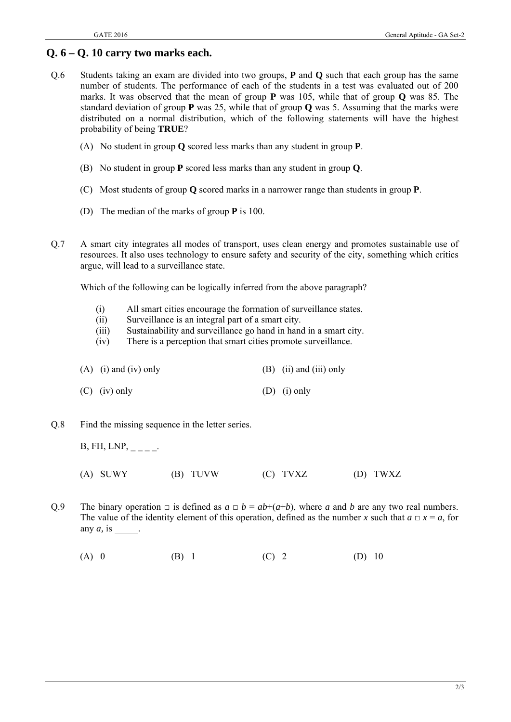# **Q. 6 – Q. 10 carry two marks each.**

- Q.6 Students taking an exam are divided into two groups, **P** and **Q** such that each group has the same number of students. The performance of each of the students in a test was evaluated out of 200 marks. It was observed that the mean of group **P** was 105, while that of group **Q** was 85. The standard deviation of group **P** was 25, while that of group **Q** was 5. Assuming that the marks were distributed on a normal distribution, which of the following statements will have the highest probability of being **TRUE**?
	- (A) No student in group **Q** scored less marks than any student in group **P**.
	- (B) No student in group **P** scored less marks than any student in group **Q**.
	- (C) Most students of group **Q** scored marks in a narrower range than students in group **P**.
	- (D) The median of the marks of group **P** is 100.
- Q.7 A smart city integrates all modes of transport, uses clean energy and promotes sustainable use of resources. It also uses technology to ensure safety and security of the city, something which critics argue, will lead to a surveillance state.

Which of the following can be logically inferred from the above paragraph?

- (i) All smart cities encourage the formation of surveillance states.
- (ii) Surveillance is an integral part of a smart city.
- (iii) Sustainability and surveillance go hand in hand in a smart city.
- (iv) There is a perception that smart cities promote surveillance.
- (A) (i) and (iv) only (B) (ii) and (iii) only
- (C) (iv) only (D) (i) only
- Q.8 Find the missing sequence in the letter series.
	- $B, FH, LNP, \_\_ \_\_ \_ \$
	- (A) SUWY (B) TUVW (C) TVXZ (D) TWXZ
- Q.9 The binary operation  $\Box$  is defined as  $a \Box b = ab + (a+b)$ , where *a* and *b* are any two real numbers. The value of the identity element of this operation, defined as the number *x* such that  $a \square x = a$ , for any  $a$ , is  $\qquad$ .
	- (A) 0 (B) 1 (C) 2 (D) 10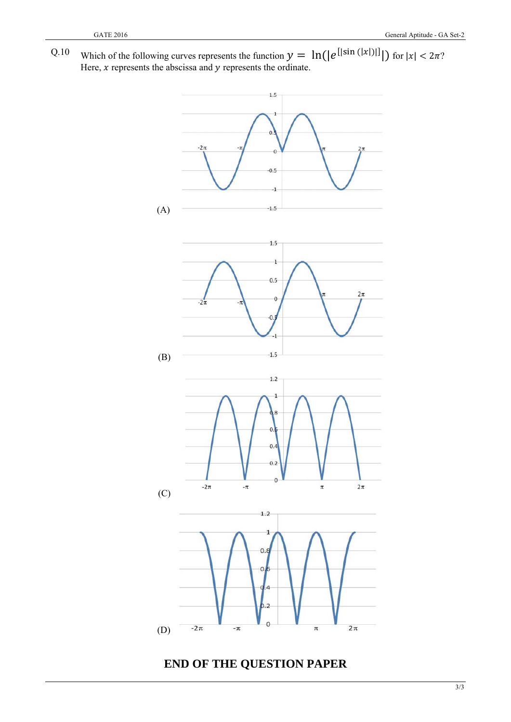Q.10 Which of the following curves represents the function  $y = \ln(|e^{[|\sin(|x|)|]})$  for  $|x| < 2\pi$ ? Here,  $x$  represents the abscissa and  $y$  represents the ordinate.



**END OF THE QUESTION PAPER** 

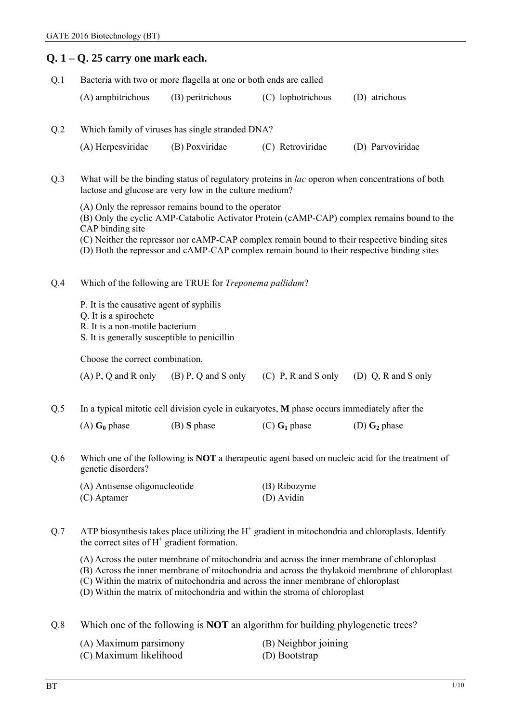|                                                                                                                               | $Q. 1 - Q. 25$ carry one mark each.                                                                                                                                                                                                                                                                                                                              |                                                                                                                                                                                                                                                                                                                                                    |                                                                                              |                                                                                                         |  |  |  |
|-------------------------------------------------------------------------------------------------------------------------------|------------------------------------------------------------------------------------------------------------------------------------------------------------------------------------------------------------------------------------------------------------------------------------------------------------------------------------------------------------------|----------------------------------------------------------------------------------------------------------------------------------------------------------------------------------------------------------------------------------------------------------------------------------------------------------------------------------------------------|----------------------------------------------------------------------------------------------|---------------------------------------------------------------------------------------------------------|--|--|--|
| Q.1                                                                                                                           |                                                                                                                                                                                                                                                                                                                                                                  | Bacteria with two or more flagella at one or both ends are called                                                                                                                                                                                                                                                                                  |                                                                                              |                                                                                                         |  |  |  |
|                                                                                                                               | (A) amphitrichous                                                                                                                                                                                                                                                                                                                                                | (B) peritrichous                                                                                                                                                                                                                                                                                                                                   | (C) lophotrichous                                                                            | (D) atrichous                                                                                           |  |  |  |
| Q <sub>.2</sub>                                                                                                               |                                                                                                                                                                                                                                                                                                                                                                  | Which family of viruses has single stranded DNA?                                                                                                                                                                                                                                                                                                   |                                                                                              |                                                                                                         |  |  |  |
|                                                                                                                               | (A) Herpesviridae                                                                                                                                                                                                                                                                                                                                                | (B) Poxviridae                                                                                                                                                                                                                                                                                                                                     | (C) Retroviridae                                                                             | (D) Parvoviridae                                                                                        |  |  |  |
| Q.3                                                                                                                           |                                                                                                                                                                                                                                                                                                                                                                  | lactose and glucose are very low in the culture medium?                                                                                                                                                                                                                                                                                            |                                                                                              | What will be the binding status of regulatory proteins in <i>lac</i> operon when concentrations of both |  |  |  |
|                                                                                                                               | CAP binding site                                                                                                                                                                                                                                                                                                                                                 | (A) Only the repressor remains bound to the operator<br>(B) Only the cyclic AMP-Catabolic Activator Protein (cAMP-CAP) complex remains bound to the<br>(C) Neither the repressor nor cAMP-CAP complex remain bound to their respective binding sites<br>(D) Both the repressor and cAMP-CAP complex remain bound to their respective binding sites |                                                                                              |                                                                                                         |  |  |  |
| Q.4                                                                                                                           |                                                                                                                                                                                                                                                                                                                                                                  | Which of the following are TRUE for Treponema pallidum?                                                                                                                                                                                                                                                                                            |                                                                                              |                                                                                                         |  |  |  |
|                                                                                                                               | P. It is the causative agent of syphilis<br>Q. It is a spirochete<br>R. It is a non-motile bacterium<br>S. It is generally susceptible to penicillin                                                                                                                                                                                                             |                                                                                                                                                                                                                                                                                                                                                    |                                                                                              |                                                                                                         |  |  |  |
| Choose the correct combination.                                                                                               |                                                                                                                                                                                                                                                                                                                                                                  |                                                                                                                                                                                                                                                                                                                                                    |                                                                                              |                                                                                                         |  |  |  |
|                                                                                                                               | $(A)$ P, Q and R only                                                                                                                                                                                                                                                                                                                                            | $(B)$ P, Q and S only                                                                                                                                                                                                                                                                                                                              | $(C)$ P, R and S only                                                                        | (D) $Q$ , R and S only                                                                                  |  |  |  |
| Q.5                                                                                                                           |                                                                                                                                                                                                                                                                                                                                                                  |                                                                                                                                                                                                                                                                                                                                                    | In a typical mitotic cell division cycle in eukaryotes, M phase occurs immediately after the |                                                                                                         |  |  |  |
|                                                                                                                               | $(A)$ G <sub>0</sub> phase                                                                                                                                                                                                                                                                                                                                       | $(B)$ S phase                                                                                                                                                                                                                                                                                                                                      | $(C)$ G <sub>1</sub> phase                                                                   | (D) $\mathbf{G}_2$ phase                                                                                |  |  |  |
| Which one of the following is NOT a therapeutic agent based on nucleic acid for the treatment of<br>Q.6<br>genetic disorders? |                                                                                                                                                                                                                                                                                                                                                                  |                                                                                                                                                                                                                                                                                                                                                    |                                                                                              |                                                                                                         |  |  |  |
|                                                                                                                               | (A) Antisense oligonucleotide<br>(C) Aptamer                                                                                                                                                                                                                                                                                                                     |                                                                                                                                                                                                                                                                                                                                                    | (B) Ribozyme<br>(D) Avidin                                                                   |                                                                                                         |  |  |  |
| Q.7                                                                                                                           | ATP biosynthesis takes place utilizing the $H+$ gradient in mitochondria and chloroplasts. Identify<br>the correct sites of $H^+$ gradient formation.                                                                                                                                                                                                            |                                                                                                                                                                                                                                                                                                                                                    |                                                                                              |                                                                                                         |  |  |  |
|                                                                                                                               | (A) Across the outer membrane of mitochondria and across the inner membrane of chloroplast<br>(B) Across the inner membrane of mitochondria and across the thylakoid membrane of chloroplast<br>(C) Within the matrix of mitochondria and across the inner membrane of chloroplast<br>(D) Within the matrix of mitochondria and within the stroma of chloroplast |                                                                                                                                                                                                                                                                                                                                                    |                                                                                              |                                                                                                         |  |  |  |
| Q.8                                                                                                                           |                                                                                                                                                                                                                                                                                                                                                                  |                                                                                                                                                                                                                                                                                                                                                    | Which one of the following is <b>NOT</b> an algorithm for building phylogenetic trees?       |                                                                                                         |  |  |  |

| (A) Maximum parsimony  | (B) Neighbor joining |
|------------------------|----------------------|
| (C) Maximum likelihood | (D) Bootstrap        |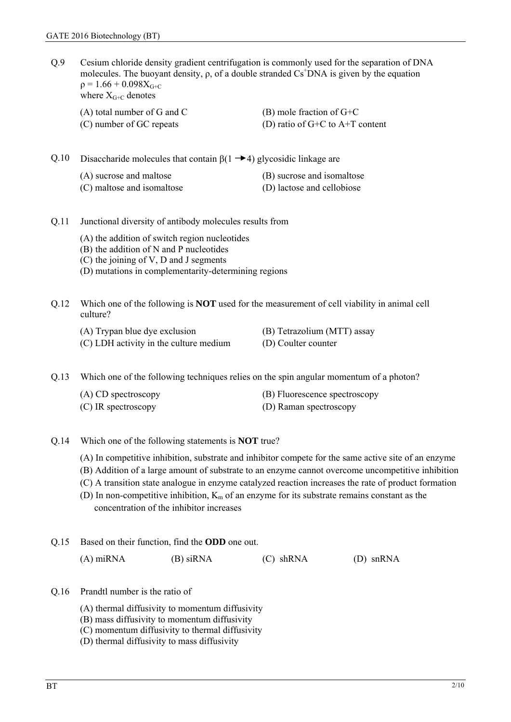Q.9 Cesium chloride density gradient centrifugation is commonly used for the separation of DNA molecules. The buoyant density,  $\rho$ , of a double stranded  $Cs^+DNA$  is given by the equation  $p = 1.66 + 0.098X<sub>G+C</sub>$ where  $X_{G+C}$  denotes

(A) total number of G and C  $(B)$  mole fraction of G+C (C) number of GC repeats (D) ratio of  $G+C$  to  $A+T$  content

Q.10 Disaccharide molecules that contain  $\beta(1 \rightarrow 4)$  glycosidic linkage are

| (A) sucrose and maltose    | (B) sucrose and isomaltose |
|----------------------------|----------------------------|
| (C) maltose and isomaltose | (D) lactose and cellobiose |

#### Q.11 Junctional diversity of antibody molecules results from

- (A) the addition of switch region nucleotides
- (B) the addition of N and P nucleotides
- (C) the joining of V, D and J segments
- (D) mutations in complementarity-determining regions

Q.12 Which one of the following is **NOT** used for the measurement of cell viability in animal cell culture?

- (A) Trypan blue dye exclusion (B) Tetrazolium (MTT) assay
- (C) LDH activity in the culture medium (D) Coulter counter

Q.13 Which one of the following techniques relies on the spin angular momentum of a photon?

| (A) CD spectroscopy | (B) Fluorescence spectroscopy |
|---------------------|-------------------------------|
| (C) IR spectroscopy | (D) Raman spectroscopy        |

- Q.14 Which one of the following statements is **NOT** true?
	- (A) In competitive inhibition, substrate and inhibitor compete for the same active site of an enzyme
	- (B) Addition of a large amount of substrate to an enzyme cannot overcome uncompetitive inhibition
	- (C) A transition state analogue in enzyme catalyzed reaction increases the rate of product formation
	- (D) In non-competitive inhibition,  $K_m$  of an enzyme for its substrate remains constant as the concentration of the inhibitor increases
- Q.15 Based on their function, find the **ODD** one out.

| $(A)$ miRNA | (B) siRNA | (C) shRNA | $(D)$ snRNA |
|-------------|-----------|-----------|-------------|
|-------------|-----------|-----------|-------------|

- Q.16 Prandtl number is the ratio of
	- (A) thermal diffusivity to momentum diffusivity
	- (B) mass diffusivity to momentum diffusivity
	- (C) momentum diffusivity to thermal diffusivity
	- (D) thermal diffusivity to mass diffusivity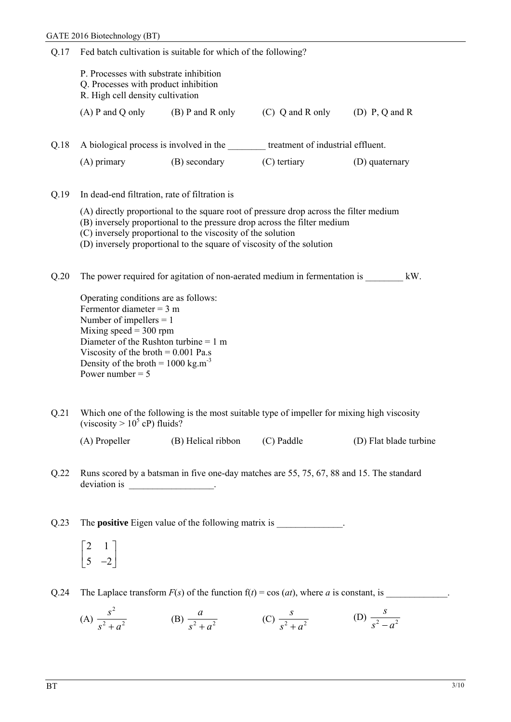| Q.17 | Fed batch cultivation is suitable for which of the following?                                                                                                                                                                                                                                            |                                                                                                                                      |                                                                                                                                                                    |                                                                                                         |  |
|------|----------------------------------------------------------------------------------------------------------------------------------------------------------------------------------------------------------------------------------------------------------------------------------------------------------|--------------------------------------------------------------------------------------------------------------------------------------|--------------------------------------------------------------------------------------------------------------------------------------------------------------------|---------------------------------------------------------------------------------------------------------|--|
|      | P. Processes with substrate inhibition<br>Q. Processes with product inhibition<br>R. High cell density cultivation                                                                                                                                                                                       |                                                                                                                                      |                                                                                                                                                                    |                                                                                                         |  |
|      |                                                                                                                                                                                                                                                                                                          |                                                                                                                                      | (A) P and Q only (B) P and R only (C) Q and R only (D) P, Q and R                                                                                                  |                                                                                                         |  |
| Q.18 |                                                                                                                                                                                                                                                                                                          |                                                                                                                                      | A biological process is involved in the <u>section</u> treatment of industrial effluent.                                                                           |                                                                                                         |  |
|      | $(A)$ primary                                                                                                                                                                                                                                                                                            | (B) secondary                                                                                                                        | $(C)$ tertiary                                                                                                                                                     | (D) quaternary                                                                                          |  |
| Q.19 | In dead-end filtration, rate of filtration is                                                                                                                                                                                                                                                            |                                                                                                                                      |                                                                                                                                                                    |                                                                                                         |  |
|      |                                                                                                                                                                                                                                                                                                          | (C) inversely proportional to the viscosity of the solution<br>(D) inversely proportional to the square of viscosity of the solution | (A) directly proportional to the square root of pressure drop across the filter medium<br>(B) inversely proportional to the pressure drop across the filter medium |                                                                                                         |  |
| Q.20 |                                                                                                                                                                                                                                                                                                          |                                                                                                                                      | The power required for agitation of non-aerated medium in fermentation is                                                                                          | kW.                                                                                                     |  |
|      | Operating conditions are as follows:<br>Fermentor diameter = $3 \text{ m}$<br>Number of impellers $= 1$<br>Mixing speed $=$ 300 rpm<br>Diameter of the Rushton turbine = $1 \text{ m}$<br>Viscosity of the broth $= 0.001$ Pa.s<br>Density of the broth = $1000 \text{ kg.m}^{-3}$<br>Power number $= 5$ |                                                                                                                                      |                                                                                                                                                                    |                                                                                                         |  |
| Q.21 | (viscosity $> 10^5$ cP) fluids?                                                                                                                                                                                                                                                                          |                                                                                                                                      | Which one of the following is the most suitable type of impeller for mixing high viscosity                                                                         |                                                                                                         |  |
|      | (A) Propeller                                                                                                                                                                                                                                                                                            | (B) Helical ribbon                                                                                                                   | (C) Paddle                                                                                                                                                         | (D) Flat blade turbine                                                                                  |  |
| Q.22 | Runs scored by a batsman in five one-day matches are 55, 75, 67, 88 and 15. The standard<br>deviation is ___________________________.                                                                                                                                                                    |                                                                                                                                      |                                                                                                                                                                    |                                                                                                         |  |
| Q.23 |                                                                                                                                                                                                                                                                                                          |                                                                                                                                      | The <b>positive</b> Eigen value of the following matrix is ______________.                                                                                         |                                                                                                         |  |
|      | $\begin{bmatrix} 2 & 1 \\ 5 & -2 \end{bmatrix}$                                                                                                                                                                                                                                                          |                                                                                                                                      |                                                                                                                                                                    |                                                                                                         |  |
| Q.24 |                                                                                                                                                                                                                                                                                                          |                                                                                                                                      |                                                                                                                                                                    | The Laplace transform $F(s)$ of the function $f(t) = \cos(at)$ , where a is constant, is _____________. |  |
|      |                                                                                                                                                                                                                                                                                                          |                                                                                                                                      |                                                                                                                                                                    |                                                                                                         |  |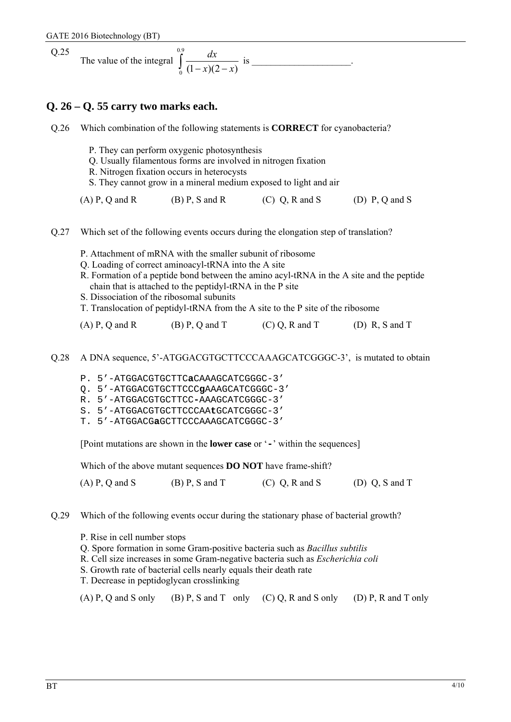Q.25 The value of the integral 0.9  $\int_0^1 (1-x)(2-x)$ *dx <sup>x</sup> <sup>x</sup>* is \_\_\_\_\_\_\_\_\_\_\_\_\_\_\_\_\_\_\_\_\_.

# **Q. 26 – Q. 55 carry two marks each.**

Q.26 Which combination of the following statements is **CORRECT** for cyanobacteria? P. They can perform oxygenic photosynthesis Q. Usually filamentous forms are involved in nitrogen fixation R. Nitrogen fixation occurs in heterocysts S. They cannot grow in a mineral medium exposed to light and air  $(A)$  P, Q and R (B) P, S and R (C) Q, R and S (D) P, Q and S Q.27 Which set of the following events occurs during the elongation step of translation? P. Attachment of mRNA with the smaller subunit of ribosome Q. Loading of correct aminoacyl-tRNA into the A site R. Formation of a peptide bond between the amino acyl-tRNA in the A site and the peptide chain that is attached to the peptidyl-tRNA in the P site

- S. Dissociation of the ribosomal subunits
- T. Translocation of peptidyl-tRNA from the A site to the P site of the ribosome

| $(A)$ P, Q and R | $(B)$ P, Q and T | $(C) Q$ , R and T | (D) R, S and T |
|------------------|------------------|-------------------|----------------|
|------------------|------------------|-------------------|----------------|

Q.28 A DNA sequence, 5'-ATGGACGTGCTTCCCAAAGCATCGGGC-3', is mutated to obtain

- P. 5'-ATGGACGTGCTTC**a**CAAAGCATCGGGC-3'
- Q. 5'-ATGGACGTGCTTCCC**g**AAAGCATCGGGC-3'
- R. 5'-ATGGACGTGCTTCC**-**AAAGCATCGGGC-3'
- S. 5'-ATGGACGTGCTTCCCAA**t**GCATCGGGC-3'
- T. 5'-ATGGACG**a**GCTTCCCAAAGCATCGGGC-3'

[Point mutations are shown in the **lower case** or '**-**' within the sequences]

Which of the above mutant sequences **DO NOT** have frame-shift?

(A) P, Q and S (B) P, S and T (C) Q, R and S (D) Q, S and T

- Q.29 Which of the following events occur during the stationary phase of bacterial growth?
	- P. Rise in cell number stops
	- Q. Spore formation in some Gram-positive bacteria such as *Bacillus subtilis*
	- R. Cell size increases in some Gram-negative bacteria such as *Escherichia coli*
	- S. Growth rate of bacterial cells nearly equals their death rate
	- T. Decrease in peptidoglycan crosslinking

|  |  |  | $(A)$ P, Q and S only $(B)$ P, S and T only $(C)$ Q, R and S only | (D) P, R and T only |  |
|--|--|--|-------------------------------------------------------------------|---------------------|--|
|--|--|--|-------------------------------------------------------------------|---------------------|--|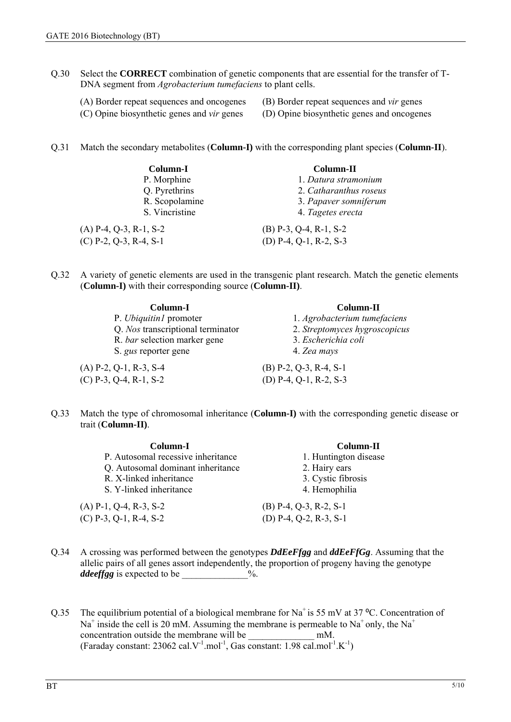- Q.30 Select the **CORRECT** combination of genetic components that are essential for the transfer of T-DNA segment from *Agrobacterium tumefaciens* to plant cells.
	- (A) Border repeat sequences and oncogenes (B) Border repeat sequences and *vir* genes
		-
	- (C) Opine biosynthetic genes and *vir* genes (D) Opine biosynthetic genes and oncogenes
- Q.31 Match the secondary metabolites (**Column-I)** with the corresponding plant species (**Column-II**).

| Column-I                 | Column-II                |
|--------------------------|--------------------------|
| P. Morphine              | 1. Datura stramonium     |
| Q. Pyrethrins            | 2. Catharanthus roseus   |
| R. Scopolamine           | 3. Papaver somniferum    |
| S. Vincristine           | 4. Tagetes erecta        |
| $(A)$ P-4, Q-3, R-1, S-2 | $(B)$ P-3, Q-4, R-1, S-2 |
| $(C)$ P-2, Q-3, R-4, S-1 | (D) P-4, Q-1, R-2, S-3   |

Q.32 A variety of genetic elements are used in the transgenic plant research. Match the genetic elements (**Column-I)** with their corresponding source (**Column-II)**.

| Column-I                          | Column-II                     |  |
|-----------------------------------|-------------------------------|--|
| P. Ubiquitin1 promoter            | 1. Agrobacterium tumefaciens  |  |
| Q. Nos transcriptional terminator | 2. Streptomyces hygroscopicus |  |
| R. bar selection marker gene      | 3. Escherichia coli           |  |
| S. gus reporter gene              | 4. Zea mays                   |  |
| $(A)$ P-2, Q-1, R-3, S-4          | $(B)$ P-2, Q-3, R-4, S-1      |  |
| $(C)$ P-3, Q-4, R-1, S-2          | (D) P-4, Q-1, R-2, S-3        |  |

Q.33 Match the type of chromosomal inheritance (**Column-I)** with the corresponding genetic disease or trait (**Column-II)**.

| Column-I                           | Column-II                |
|------------------------------------|--------------------------|
| P. Autosomal recessive inheritance | 1. Huntington disease    |
| Q. Autosomal dominant inheritance  | 2. Hairy ears            |
| R. X-linked inheritance            | 3. Cystic fibrosis       |
| S. Y-linked inheritance            | 4. Hemophilia            |
| $(A)$ P-1, Q-4, R-3, S-2           | $(B)$ P-4, Q-3, R-2, S-1 |
| $(C)$ P-3, Q-1, R-4, S-2           | (D) P-4, Q-2, R-3, S-1   |
|                                    |                          |

- Q.34 A crossing was performed between the genotypes *DdEeFfgg* and *ddEeFfGg*. Assuming that the allelic pairs of all genes assort independently, the proportion of progeny having the genotype *ddeeffgg* is expected to be \_\_\_\_\_\_\_\_\_\_\_\_\_%.
- Q.35 The equilibrium potential of a biological membrane for Na<sup>+</sup> is 55 mV at 37 °C. Concentration of Na<sup>+</sup> inside the cell is 20 mM. Assuming the membrane is permeable to Na<sup>+</sup> only, the Na<sup>+</sup> concentration outside the membrane will be  $mm$ . (Faraday constant: 23062 cal.V<sup>-1</sup>.mol<sup>-1</sup>, Gas constant: 1.98 cal.mol<sup>-1</sup>.K<sup>-1</sup>)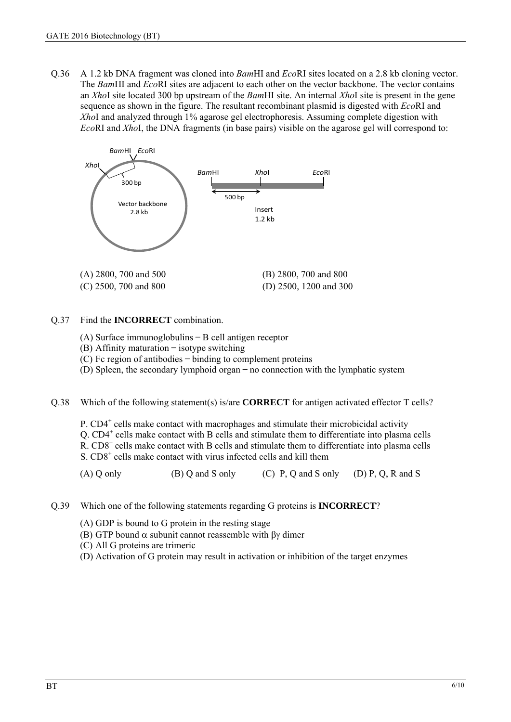Q.36 A 1.2 kb DNA fragment was cloned into *Bam*HI and *Eco*RI sites located on a 2.8 kb cloning vector. The *Bam*HI and *Eco*RI sites are adjacent to each other on the vector backbone. The vector contains an *Xho*I site located 300 bp upstream of the *Bam*HI site. An internal *Xho*I site is present in the gene sequence as shown in the figure. The resultant recombinant plasmid is digested with *Eco*RI and *Xho*I and analyzed through 1% agarose gel electrophoresis. Assuming complete digestion with *Eco*RI and *Xho*I, the DNA fragments (in base pairs) visible on the agarose gel will correspond to:



### Q.37 Find the **INCORRECT** combination.

- (A) Surface immunoglobulins ̶ B cell antigen receptor
- $(B)$  Affinity maturation isotype switching
- (C) Fc region of antibodies ̶ binding to complement proteins
- (D) Spleen, the secondary lymphoid organ ̶ no connection with the lymphatic system

Q.38 Which of the following statement(s) is/are **CORRECT** for antigen activated effector T cells?

P. CD4<sup>+</sup> cells make contact with macrophages and stimulate their microbicidal activity

Q. CD4<sup>+</sup> cells make contact with B cells and stimulate them to differentiate into plasma cells

R. CD8<sup>+</sup> cells make contact with B cells and stimulate them to differentiate into plasma cells

S. CD8<sup>+</sup> cells make contact with virus infected cells and kill them

 $(A)$  Q only  $(B)$  Q and S only  $(C)$  P, Q and S only  $(D)$  P, Q, R and S

Q.39 Which one of the following statements regarding G proteins is **INCORRECT**?

- (A) GDP is bound to G protein in the resting stage
- (B) GTP bound  $\alpha$  subunit cannot reassemble with  $\beta\gamma$  dimer
- (C) All G proteins are trimeric
- (D) Activation of G protein may result in activation or inhibition of the target enzymes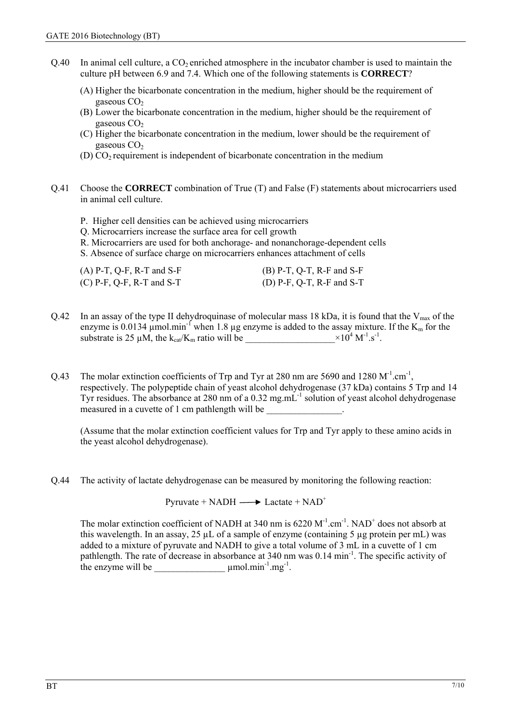- $Q.40$  In animal cell culture, a  $CO<sub>2</sub>$  enriched atmosphere in the incubator chamber is used to maintain the culture pH between 6.9 and 7.4. Which one of the following statements is **CORRECT**?
	- (A) Higher the bicarbonate concentration in the medium, higher should be the requirement of gaseous CO<sub>2</sub>
	- (B) Lower the bicarbonate concentration in the medium, higher should be the requirement of gaseous  $CO<sub>2</sub>$
	- (C) Higher the bicarbonate concentration in the medium, lower should be the requirement of gaseous CO<sub>2</sub>
	- (D)  $CO<sub>2</sub>$  requirement is independent of bicarbonate concentration in the medium
- Q.41 Choose the **CORRECT** combination of True (T) and False (F) statements about microcarriers used in animal cell culture.
	- P. Higher cell densities can be achieved using microcarriers
	- Q. Microcarriers increase the surface area for cell growth
	- R. Microcarriers are used for both anchorage- and nonanchorage-dependent cells

S. Absence of surface charge on microcarriers enhances attachment of cells

| $(A)$ P-T, Q-F, R-T and S-F | $(B)$ P-T, Q-T, R-F and S-F |
|-----------------------------|-----------------------------|
| $(C)$ P-F, Q-F, R-T and S-T | (D) P-F, Q-T, R-F and S-T   |

- Q.42 In an assay of the type II dehydroquinase of molecular mass 18 kDa, it is found that the  $V_{\text{max}}$  of the enzyme is 0.0134  $\mu$ mol.min<sup>-1</sup> when 1.8  $\mu$ g enzyme is added to the assay mixture. If the K<sub>m</sub> for the substrate is 25  $\mu$ M, the k<sub>cat</sub>/K<sub>m</sub> ratio will be  $\times 10^4$  M<sup>-1</sup>.s<sup>-1</sup>.
- Q.43 The molar extinction coefficients of Trp and Tyr at 280 nm are 5690 and 1280  $M^{-1}$ .cm<sup>-1</sup>, respectively. The polypeptide chain of yeast alcohol dehydrogenase (37 kDa) contains 5 Trp and 14 Tyr residues. The absorbance at 280 nm of a 0.32 mg.mL<sup>-1</sup> solution of yeast alcohol dehydrogenase measured in a cuvette of 1 cm pathlength will be

(Assume that the molar extinction coefficient values for Trp and Tyr apply to these amino acids in the yeast alcohol dehydrogenase).

Q.44 The activity of lactate dehydrogenase can be measured by monitoring the following reaction:

Pyruvate + NADH  $\longrightarrow$  Lactate + NAD<sup>+</sup>

The molar extinction coefficient of NADH at 340 nm is  $6220 \text{ M}^{-1} \text{cm}^{-1}$ . NAD<sup>+</sup> does not absorb at this wavelength. In an assay, 25  $\mu$ L of a sample of enzyme (containing 5  $\mu$ g protein per mL) was added to a mixture of pyruvate and NADH to give a total volume of 3 mL in a cuvette of 1 cm pathlength. The rate of decrease in absorbance at 340 nm was 0.14 min<sup>-1</sup>. The specific activity of the enzyme will be  $\mu$  mol.min<sup>-1</sup>.mg<sup>-1</sup>.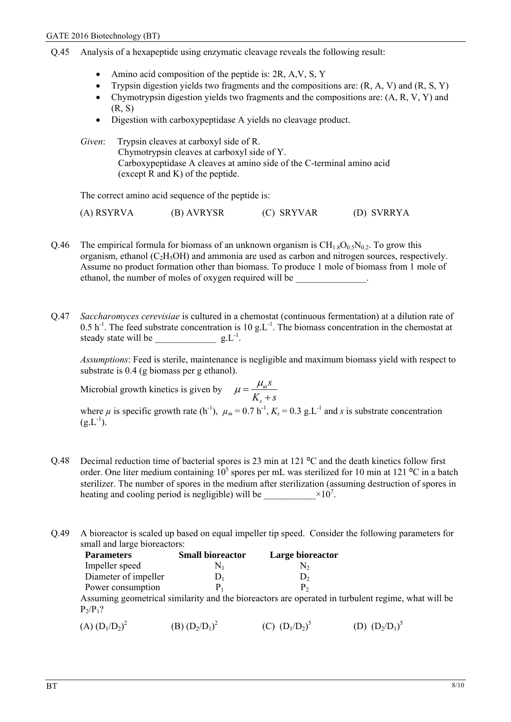## Q.45 Analysis of a hexapeptide using enzymatic cleavage reveals the following result:

- Amino acid composition of the peptide is: 2R, A,V, S, Y
- Trypsin digestion yields two fragments and the compositions are: (R, A, V) and (R, S, Y)
- Chymotrypsin digestion yields two fragments and the compositions are:  $(A, R, V, Y)$  and (R, S)
- Digestion with carboxypeptidase A yields no cleavage product.

*Given*: Trypsin cleaves at carboxyl side of R. Chymotrypsin cleaves at carboxyl side of Y. Carboxypeptidase A cleaves at amino side of the C-terminal amino acid (except R and K) of the peptide.

The correct amino acid sequence of the peptide is:

| (A) RSYRVA | (B) AVRYSR | (C) SRYVAR | (D) SVRRYA |
|------------|------------|------------|------------|
|------------|------------|------------|------------|

- Q.46 The empirical formula for biomass of an unknown organism is  $CH_{1.8}O_{0.5}N_{0.2}$ . To grow this organism, ethanol ( $C_2H_5OH$ ) and ammonia are used as carbon and nitrogen sources, respectively. Assume no product formation other than biomass. To produce 1 mole of biomass from 1 mole of ethanol, the number of moles of oxygen required will be \_\_\_\_\_\_\_\_\_\_\_\_\_\_\_.
- Q.47 *Saccharomyces cerevisiae* is cultured in a chemostat (continuous fermentation) at a dilution rate of  $0.5 h<sup>-1</sup>$ . The feed substrate concentration is 10 g.L<sup>-1</sup>. The biomass concentration in the chemostat at steady state will be  $g.L^{-1}$ .

*Assumptions*: Feed is sterile, maintenance is negligible and maximum biomass yield with respect to substrate is 0.4 (g biomass per g ethanol).

Microbial growth kinetics is given by  $\mu = \frac{\mu_m}{\mu}$ *s s*  $\mu = \frac{\mu_m s}{K_s + s}$ 

where *µ* is specific growth rate (h<sup>-1</sup>),  $\mu_m = 0.7 \text{ h}^{-1}$ ,  $K_s = 0.3 \text{ g}$ . L<sup>-1</sup> and *s* is substrate concentration  $(g.L^{-1})$ .

- Q.48 Decimal reduction time of bacterial spores is 23 min at 121 °C and the death kinetics follow first order. One liter medium containing  $10^5$  spores per mL was sterilized for 10 min at 121 °C in a batch sterilizer. The number of spores in the medium after sterilization (assuming destruction of spores in heating and cooling period is negligible) will be  $\times 10^7$ .
- Q.49 A bioreactor is scaled up based on equal impeller tip speed. Consider the following parameters for small and large bioreactors:

| <b>Parameters</b>    | <b>Small bioreactor</b> | Large bioreactor                                                                                   |
|----------------------|-------------------------|----------------------------------------------------------------------------------------------------|
| Impeller speed       | $\mathrm{N}_1$          | N2                                                                                                 |
| Diameter of impeller |                         |                                                                                                    |
| Power consumption    |                         | P <sub>2</sub>                                                                                     |
| $P_2/P_1$ ?          |                         | Assuming geometrical similarity and the bioreactors are operated in turbulent regime, what will be |

 $(A)$   $(D_1/D_2)^2$ (B)  $(D_2/D_1)^2$ (C)  $(D_1/D_2)^5$  (D)  $(D_2/D_1)^5$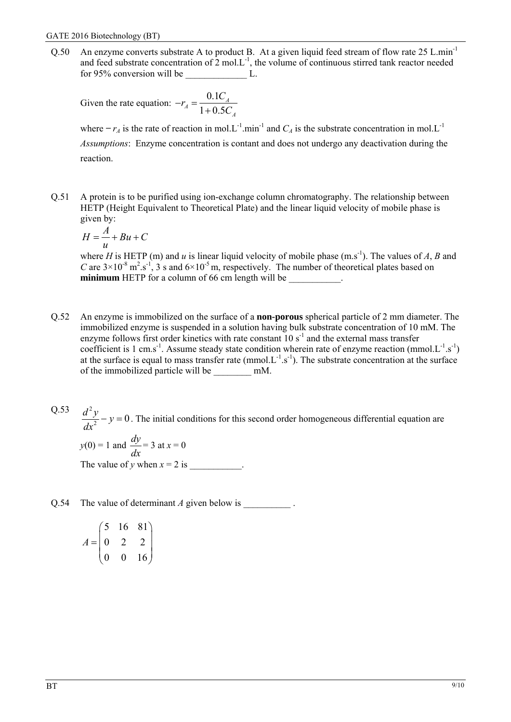Q.50 An enzyme converts substrate A to product B. At a given liquid feed stream of flow rate 25 L.min-1 and feed substrate concentration of  $2 \text{ mol.L}^{-1}$ , the volume of continuous stirred tank reactor needed for 95% conversion will be  $\qquad \qquad \text{L}$ .

*A*

Given the rate equation: 
$$
-r_A = \frac{0.1C_A}{1 + 0.5C}
$$

where  $-r_A$  is the rate of reaction in mol.L<sup>-1</sup>.min<sup>-1</sup> and  $C_A$  is the substrate concentration in mol.L<sup>-1</sup> *Assumptions*: Enzyme concentration is contant and does not undergo any deactivation during the reaction.

Q.51 A protein is to be purified using ion-exchange column chromatography. The relationship between HETP (Height Equivalent to Theoretical Plate) and the linear liquid velocity of mobile phase is given by:

$$
H = \frac{A}{u} + Bu + C
$$

where *H* is HETP (m) and *u* is linear liquid velocity of mobile phase (m.s<sup>-1</sup>). The values of *A*, *B* and *C* are  $3 \times 10^{-8}$  m<sup>2</sup>.s<sup>-1</sup>, 3 s and  $6 \times 10^{-5}$  m, respectively. The number of theoretical plates based on **minimum** HETP for a column of 66 cm length will be

- Q.52 An enzyme is immobilized on the surface of a **non-porous** spherical particle of 2 mm diameter. The immobilized enzyme is suspended in a solution having bulk substrate concentration of 10 mM. The enzyme follows first order kinetics with rate constant  $10 s<sup>-1</sup>$  and the external mass transfer coefficient is 1 cm.s<sup>-1</sup>. Assume steady state condition wherein rate of enzyme reaction (mmol. $L^{-1}$ .s<sup>-1</sup>) at the surface is equal to mass transfer rate (mmol. $L^{-1}.s^{-1}$ ). The substrate concentration at the surface of the immobilized particle will be \_\_\_\_\_\_\_\_ mM.
- Q.53  $\frac{d^2y}{dr^2} - y = 0$ . The initial conditions for this second order homogeneous differential equation are  $y(0) = 1$  and  $\frac{dy}{dx}$

*dx*  $= 3$  at  $x = 0$ The value of *y* when  $x = 2$  is \_\_\_\_\_\_\_\_\_\_.

Q.54 The value of determinant *A* given below is .

$$
A = \begin{pmatrix} 5 & 16 & 81 \\ 0 & 2 & 2 \\ 0 & 0 & 16 \end{pmatrix}
$$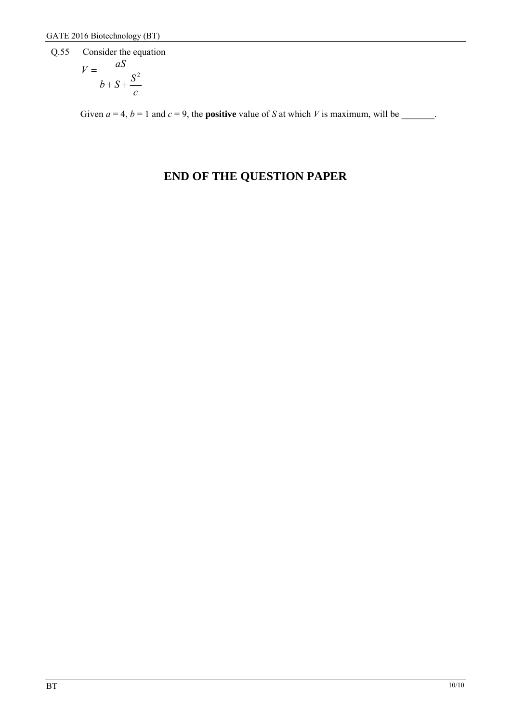Q.55 Consider the equation

$$
V = \frac{aS}{b + S + \frac{S^2}{c}}
$$

Given  $a = 4$ ,  $b = 1$  and  $c = 9$ , the **positive** value of *S* at which *V* is maximum, will be

# **END OF THE QUESTION PAPER**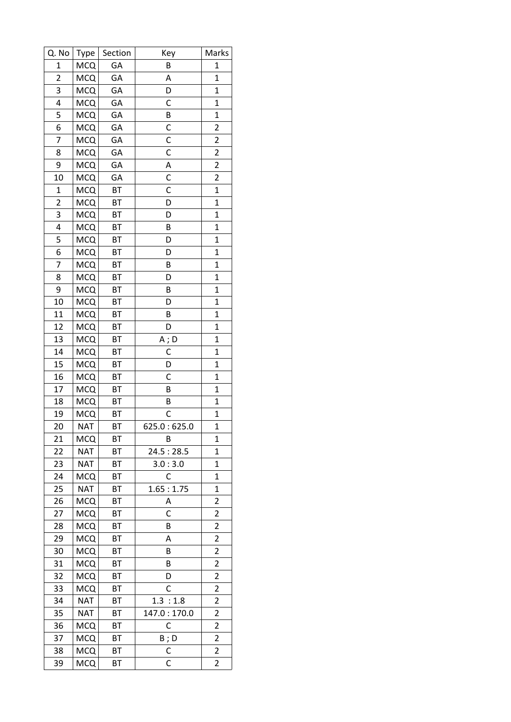| Q. No          | Type       | Section   | Key         | Marks                   |
|----------------|------------|-----------|-------------|-------------------------|
| $\mathbf{1}$   | <b>MCQ</b> | GA        | B           | 1                       |
| $\overline{2}$ | <b>MCQ</b> | GA        | А           | $\mathbf 1$             |
| 3              | <b>MCQ</b> | GA        | D           | $\mathbf 1$             |
| 4              | <b>MCQ</b> | GA        | C           | $\mathbf 1$             |
| 5              | <b>MCQ</b> | GA        | В           | $\mathbf 1$             |
| 6              | <b>MCQ</b> | GA        | C           | $\overline{c}$          |
| 7              | <b>MCQ</b> | GA        | C           | $\overline{c}$          |
| 8              | <b>MCQ</b> | GA        | C           | $\overline{\mathbf{c}}$ |
| 9              | <b>MCQ</b> | GА        | A           | $\overline{c}$          |
| 10             | <b>MCQ</b> | GA        | C           | $\overline{\mathbf{c}}$ |
| $\mathbf 1$    | <b>MCQ</b> | BT        | C           | $\mathbf 1$             |
| $\overline{c}$ | <b>MCQ</b> | BT        | D           | $\mathbf 1$             |
| 3              | <b>MCQ</b> | BT        | D           | $\mathbf 1$             |
| 4              | <b>MCQ</b> | BT        | B           | $\mathbf 1$             |
| 5              | <b>MCQ</b> | BT        | D           | $\mathbf 1$             |
| 6              | <b>MCQ</b> | BT        | D           | $\mathbf{1}$            |
| 7              | <b>MCQ</b> | BT        | B           | $\overline{1}$          |
| 8              | <b>MCQ</b> | BT        | D           | $\mathbf{1}$            |
| 9              | <b>MCQ</b> | BT        | B           | $\mathbf 1$             |
| 10             | <b>MCQ</b> | BT        | D           | $\mathbf{1}$            |
| 11             | <b>MCQ</b> | BT        | B           | $\mathbf 1$             |
| 12             | <b>MCQ</b> | BT        | D           | $\mathbf{1}$            |
| 13             | <b>MCQ</b> | BT        | A;D         | $\mathbf 1$             |
| 14             | <b>MCQ</b> | BT        | С           | $\mathbf 1$             |
| 15             | <b>MCQ</b> | BT        | D           | $\mathbf 1$             |
| 16             | <b>MCQ</b> | BT        | C           | $\overline{1}$          |
| 17             | <b>MCQ</b> | BT        | B           | $\mathbf{1}$            |
| 18             | <b>MCQ</b> | BT        | B           | $\mathbf 1$             |
| 19             | <b>MCQ</b> | BT        | C           | $\mathbf{1}$            |
| 20             | <b>NAT</b> | ВT        | 625.0:625.0 | $\mathbf 1$             |
| 21             | <b>MCQ</b> | ВT        | В           | 1                       |
| 22             | <b>NAT</b> | ВT        | 24.5:28.5   | 1                       |
| 23             | <b>NAT</b> | <b>BT</b> | 3.0:3.0     | $\mathbf 1$             |
| 24             | <b>MCQ</b> | <b>BT</b> | С           | $\mathbf 1$             |
| 25             | <b>NAT</b> | BT        | 1.65:1.75   | 1                       |
| 26             | <b>MCQ</b> | <b>BT</b> | А           | $\overline{2}$          |
| 27             | <b>MCQ</b> | ВT        | С           | 2                       |
| 28             | <b>MCQ</b> | <b>BT</b> | B           | $\overline{2}$          |
| 29             | <b>MCQ</b> | ВT        | Α           | 2                       |
| 30             | <b>MCQ</b> | BT        | B           | 2                       |
| 31             | <b>MCQ</b> | ВT        | B           | 2                       |
| 32             | <b>MCQ</b> | ВT        | D           | 2                       |
| 33             | <b>MCQ</b> | ВT        | С           | $\overline{2}$          |
| 34             | <b>NAT</b> | ВT        | 1.3:1.8     | 2                       |
| 35             | <b>NAT</b> | ВT        | 147.0:170.0 | $\overline{2}$          |
| 36             | <b>MCQ</b> | BT        | С           | 2                       |
| 37             | <b>MCQ</b> | ВT        | $B$ ; D     | $\overline{2}$          |
| 38             | <b>MCQ</b> | <b>BT</b> | C           | $\overline{\mathbf{c}}$ |
| 39             | <b>MCQ</b> | ВT        | C           | 2                       |